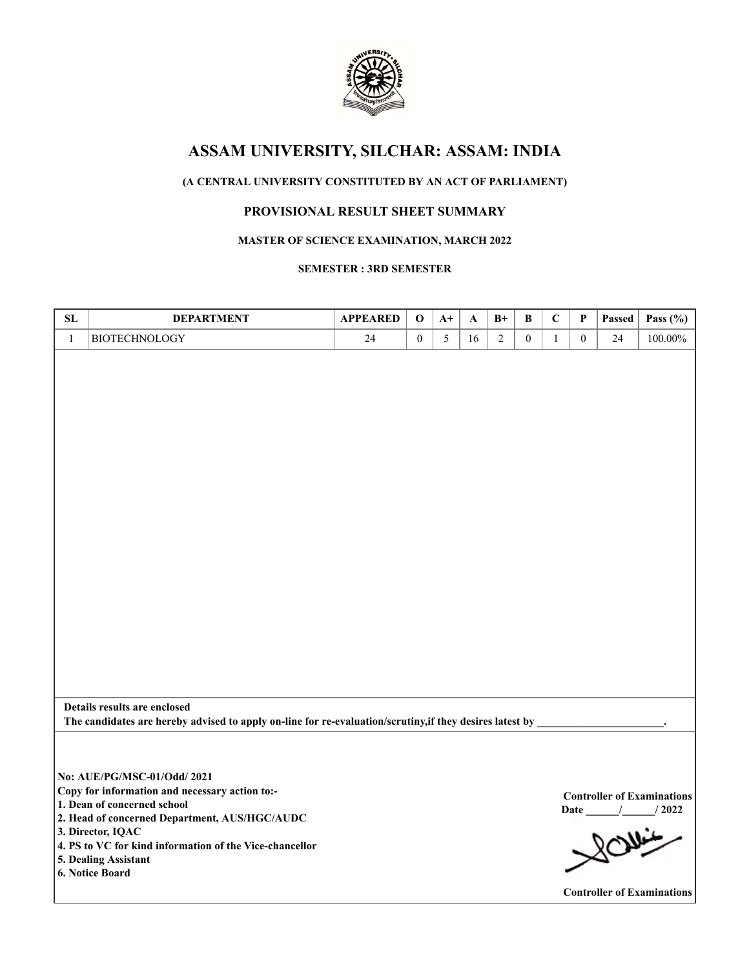

# **ASSAM UNIVERSITY, SILCHAR: ASSAM: INDIA**

# **(A CENTRAL UNIVERSITY CONSTITUTED BY AN ACT OF PARLIAMENT)**

# **PROVISIONAL RESULT SHEET SUMMARY**

## **MASTER OF SCIENCE EXAMINATION, MARCH 2022**

### **SEMESTER : 3RD SEMESTER**

| ${\bf SL}$ | <b>DEPARTMENT</b>                                                                                        | <b>APPEARED</b> | $\mathbf{o}$     | $A+$ | A  | $B+$           | B                | $\mathbf C$  | P                | Passed | Pass $(\% )$                      |
|------------|----------------------------------------------------------------------------------------------------------|-----------------|------------------|------|----|----------------|------------------|--------------|------------------|--------|-----------------------------------|
| $\,1$      | <b>BIOTECHNOLOGY</b>                                                                                     | $24\,$          | $\boldsymbol{0}$ | 5    | 16 | $\overline{2}$ | $\boldsymbol{0}$ | $\mathbf{1}$ | $\boldsymbol{0}$ | 24     | $100.00\%$                        |
|            |                                                                                                          |                 |                  |      |    |                |                  |              |                  |        |                                   |
|            |                                                                                                          |                 |                  |      |    |                |                  |              |                  |        |                                   |
|            |                                                                                                          |                 |                  |      |    |                |                  |              |                  |        |                                   |
|            |                                                                                                          |                 |                  |      |    |                |                  |              |                  |        |                                   |
|            |                                                                                                          |                 |                  |      |    |                |                  |              |                  |        |                                   |
|            |                                                                                                          |                 |                  |      |    |                |                  |              |                  |        |                                   |
|            |                                                                                                          |                 |                  |      |    |                |                  |              |                  |        |                                   |
|            |                                                                                                          |                 |                  |      |    |                |                  |              |                  |        |                                   |
|            |                                                                                                          |                 |                  |      |    |                |                  |              |                  |        |                                   |
|            |                                                                                                          |                 |                  |      |    |                |                  |              |                  |        |                                   |
|            |                                                                                                          |                 |                  |      |    |                |                  |              |                  |        |                                   |
|            |                                                                                                          |                 |                  |      |    |                |                  |              |                  |        |                                   |
|            |                                                                                                          |                 |                  |      |    |                |                  |              |                  |        |                                   |
|            |                                                                                                          |                 |                  |      |    |                |                  |              |                  |        |                                   |
|            |                                                                                                          |                 |                  |      |    |                |                  |              |                  |        |                                   |
|            |                                                                                                          |                 |                  |      |    |                |                  |              |                  |        |                                   |
|            |                                                                                                          |                 |                  |      |    |                |                  |              |                  |        |                                   |
|            |                                                                                                          |                 |                  |      |    |                |                  |              |                  |        |                                   |
|            |                                                                                                          |                 |                  |      |    |                |                  |              |                  |        |                                   |
|            |                                                                                                          |                 |                  |      |    |                |                  |              |                  |        |                                   |
|            | Details results are enclosed                                                                             |                 |                  |      |    |                |                  |              |                  |        |                                   |
|            | The candidates are hereby advised to apply on-line for re-evaluation/scrutiny, if they desires latest by |                 |                  |      |    |                |                  |              |                  |        |                                   |
|            |                                                                                                          |                 |                  |      |    |                |                  |              |                  |        |                                   |
|            |                                                                                                          |                 |                  |      |    |                |                  |              |                  |        |                                   |
|            | No: AUE/PG/MSC-01/Odd/ 2021                                                                              |                 |                  |      |    |                |                  |              |                  |        |                                   |
|            | Copy for information and necessary action to:-                                                           |                 |                  |      |    |                |                  |              |                  |        | <b>Controller of Examinations</b> |
|            | 1. Dean of concerned school                                                                              |                 |                  |      |    |                |                  |              |                  |        | Date / / 2022                     |
|            | 2. Head of concerned Department, AUS/HGC/AUDC                                                            |                 |                  |      |    |                |                  |              |                  |        |                                   |
|            | 3. Director, IQAC<br>4. PS to VC for kind information of the Vice-chancellor                             |                 |                  |      |    |                |                  |              |                  |        | 201/102                           |
|            | 5. Dealing Assistant                                                                                     |                 |                  |      |    |                |                  |              |                  |        |                                   |
|            | 6. Notice Board                                                                                          |                 |                  |      |    |                |                  |              |                  |        |                                   |
|            |                                                                                                          |                 |                  |      |    |                |                  |              |                  |        | <b>Controller of Examinations</b> |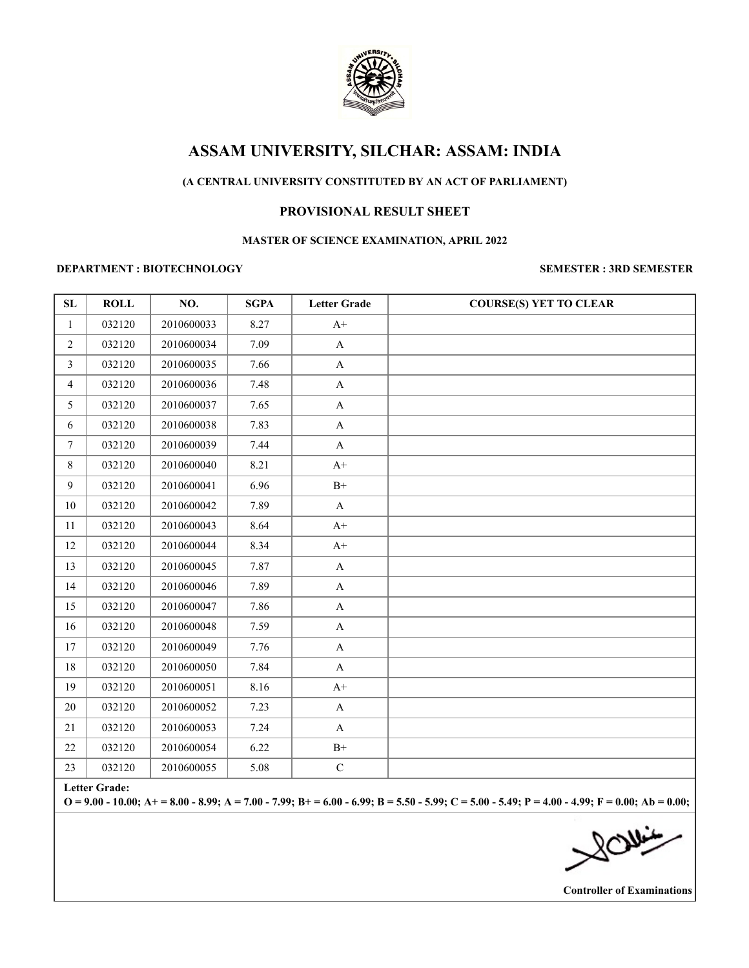

# **ASSAM UNIVERSITY, SILCHAR: ASSAM: INDIA**

# **(A CENTRAL UNIVERSITY CONSTITUTED BY AN ACT OF PARLIAMENT)**

# **PROVISIONAL RESULT SHEET**

#### **MASTER OF SCIENCE EXAMINATION, APRIL 2022**

#### **DEPARTMENT : BIOTECHNOLOGY SEMESTER : 3RD SEMESTER**

| ${\bf SL}$     | <b>ROLL</b> | NO.        | <b>SGPA</b> | <b>Letter Grade</b> | <b>COURSE(S) YET TO CLEAR</b> |
|----------------|-------------|------------|-------------|---------------------|-------------------------------|
| $\mathbf{1}$   | 032120      | 2010600033 | 8.27        | $A+$                |                               |
| $\overline{2}$ | 032120      | 2010600034 | 7.09        | $\mathbf A$         |                               |
| $\mathfrak{Z}$ | 032120      | 2010600035 | 7.66        | $\mathbf{A}$        |                               |
| $\overline{4}$ | 032120      | 2010600036 | 7.48        | $\mathbf A$         |                               |
| 5              | 032120      | 2010600037 | 7.65        | $\mathbf A$         |                               |
| 6              | 032120      | 2010600038 | 7.83        | $\mathbf A$         |                               |
| $\tau$         | 032120      | 2010600039 | 7.44        | $\mathbf{A}$        |                               |
| $\,8\,$        | 032120      | 2010600040 | 8.21        | $A+$                |                               |
| 9              | 032120      | 2010600041 | 6.96        | $\mathrm{B}^{+}$    |                               |
| $10\,$         | 032120      | 2010600042 | 7.89        | $\mathbf{A}$        |                               |
| $11\,$         | 032120      | 2010600043 | 8.64        | $A+$                |                               |
| 12             | 032120      | 2010600044 | 8.34        | $A+$                |                               |
| 13             | 032120      | 2010600045 | 7.87        | $\mathbf{A}$        |                               |
| 14             | 032120      | 2010600046 | 7.89        | $\mathbf A$         |                               |
| 15             | 032120      | 2010600047 | 7.86        | $\mathbf A$         |                               |
| 16             | 032120      | 2010600048 | 7.59        | $\mathbf A$         |                               |
| 17             | 032120      | 2010600049 | 7.76        | $\mathbf A$         |                               |
| 18             | 032120      | 2010600050 | 7.84        | $\mathbf A$         |                               |
| 19             | 032120      | 2010600051 | 8.16        | $A+$                |                               |
| $20\,$         | 032120      | 2010600052 | 7.23        | $\mathbf A$         |                               |
| 21             | 032120      | 2010600053 | 7.24        | $\mathbf A$         |                               |
| $22\,$         | 032120      | 2010600054 | 6.22        | $\mathrm{B}^{+}$    |                               |
| 23             | 032120      | 2010600055 | 5.08        | ${\bf C}$           |                               |

**Letter Grade:**

**O = 9.00 - 10.00; A+ = 8.00 - 8.99; A = 7.00 - 7.99; B+ = 6.00 - 6.99; B = 5.50 - 5.99; C = 5.00 - 5.49; P = 4.00 - 4.99; F = 0.00; Ab = 0.00;**

**Controller of Examinations**